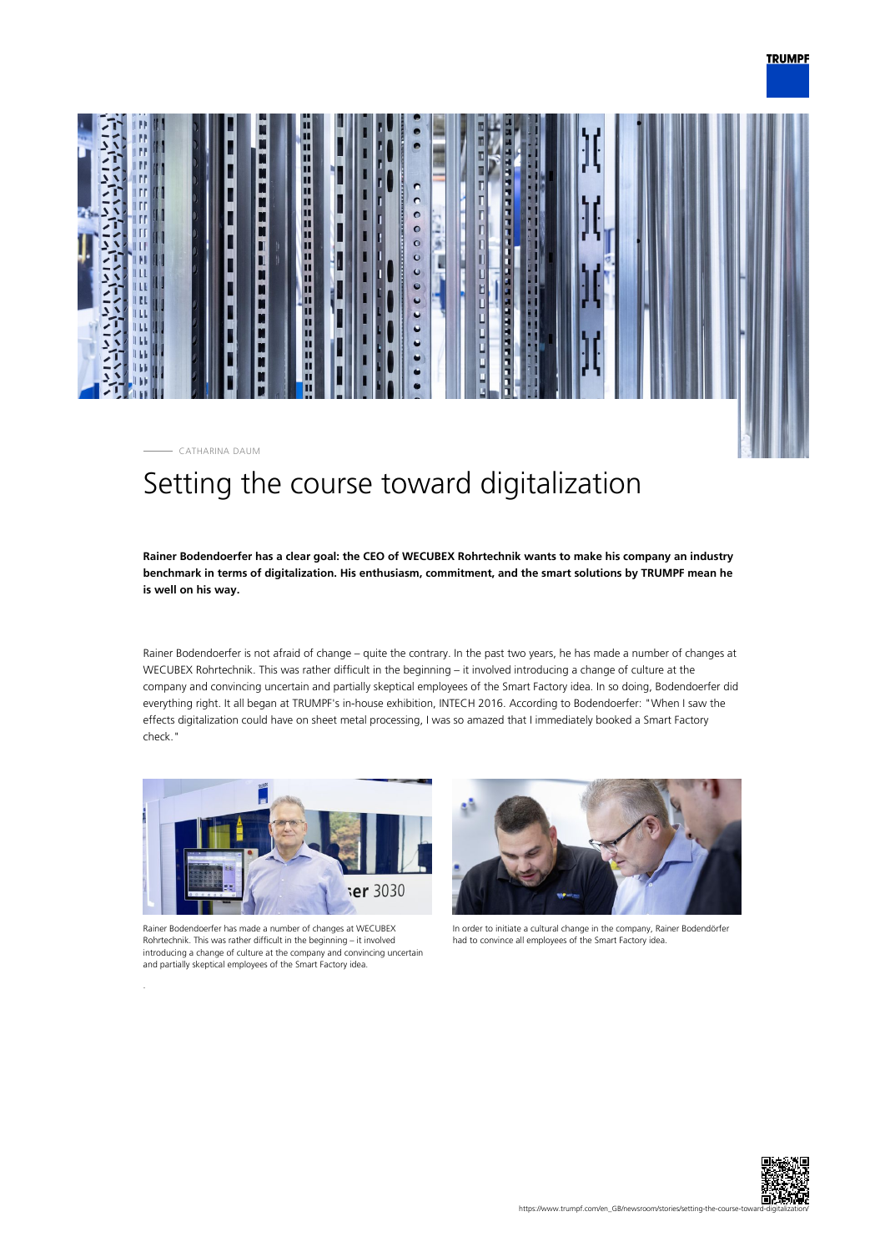



# Setting the course toward digitalization

**Rainer Bodendoerfer has a clear goal: the CEO of WECUBEX Rohrtechnik wants to make his company an industry benchmark in terms of digitalization. His enthusiasm, commitment, and the smart solutions by TRUMPF mean he is well on his way.**

Rainer Bodendoerfer is not afraid of change – quite the contrary. In the past two years, he has made a number of changes at WECUBEX Rohrtechnik. This was rather difficult in the beginning – it involved introducing a change of culture at the company and convincing uncertain and partially skeptical employees of the Smart Factory idea. In so doing, Bodendoerfer did everything right. It all began at TRUMPF's in-house exhibition, INTECH 2016. According to Bodendoerfer: "When I saw the effects digitalization could have on sheet metal processing, I was so amazed that I immediately booked a Smart Factory check."



Rainer Bodendoerfer has made a number of changes at WECUBEX Rohrtechnik. This was rather difficult in the beginning – it involved introducing a change of culture at the company and convincing uncertain and partially skeptical employees of the Smart Factory idea.



In order to initiate a cultural change in the company, Rainer Bodendörfer had to convince all employees of the Smart Factory idea.

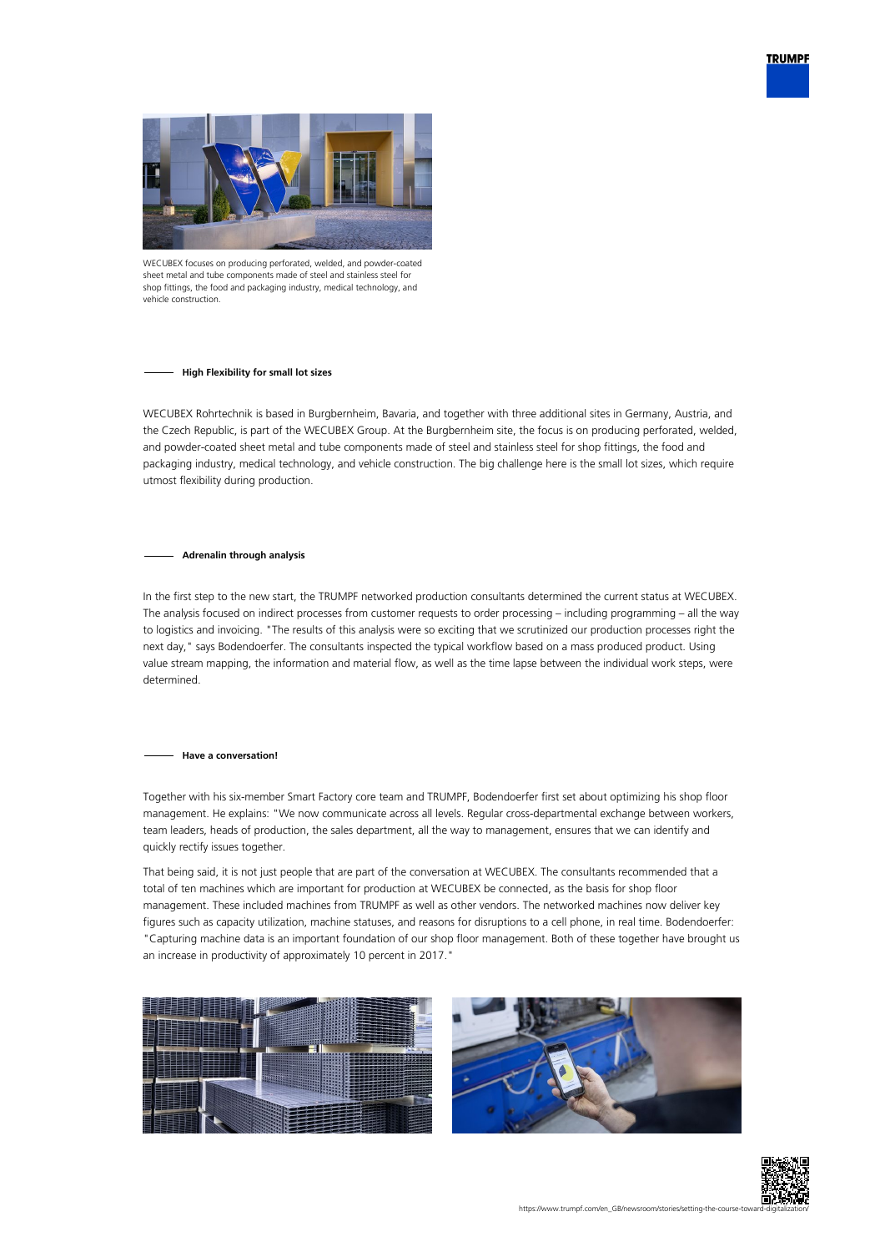



WECUBEX focuses on producing perforated, welded, and powder-coated sheet metal and tube components made of steel and stainless steel for shop fittings, the food and packaging industry, medical technology, and vehicle construction

## **High Flexibility for small lot sizes**

WECUBEX Rohrtechnik is based in Burgbernheim, Bavaria, and together with three additional sites in Germany, Austria, and the Czech Republic, is part of the WECUBEX Group. At the Burgbernheim site, the focus is on producing perforated, welded, and powder-coated sheet metal and tube components made of steel and stainless steel for shop fittings, the food and packaging industry, medical technology, and vehicle construction. The big challenge here is the small lot sizes, which require utmost flexibility during production.

## **Adrenalin through analysis**

In the first step to the new start, the TRUMPF networked production consultants determined the current status at WECUBEX. The analysis focused on indirect processes from customer requests to order processing – including programming – all the way to logistics and invoicing. "The results of this analysis were so exciting that we scrutinized our production processes right the next day," says Bodendoerfer. The consultants inspected the typical workflow based on a mass produced product. Using value stream mapping, the information and material flow, as well as the time lapse between the individual work steps, were determined.

## **Have a conversation!**

Together with his six-member Smart Factory core team and TRUMPF, Bodendoerfer first set about optimizing his shop floor management. He explains: "We now communicate across all levels. Regular cross-departmental exchange between workers, team leaders, heads of production, the sales department, all the way to management, ensures that we can identify and quickly rectify issues together.

That being said, it is not just people that are part of the conversation at WECUBEX. The consultants recommended that a total of ten machines which are important for production at WECUBEX be connected, as the basis for shop floor management. These included machines from TRUMPF as well as other vendors. The networked machines now deliver key figures such as capacity utilization, machine statuses, and reasons for disruptions to a cell phone, in real time. Bodendoerfer: "Capturing machine data is an important foundation of our shop floor management. Both of these together have brought us an increase in productivity of approximately 10 percent in 2017."





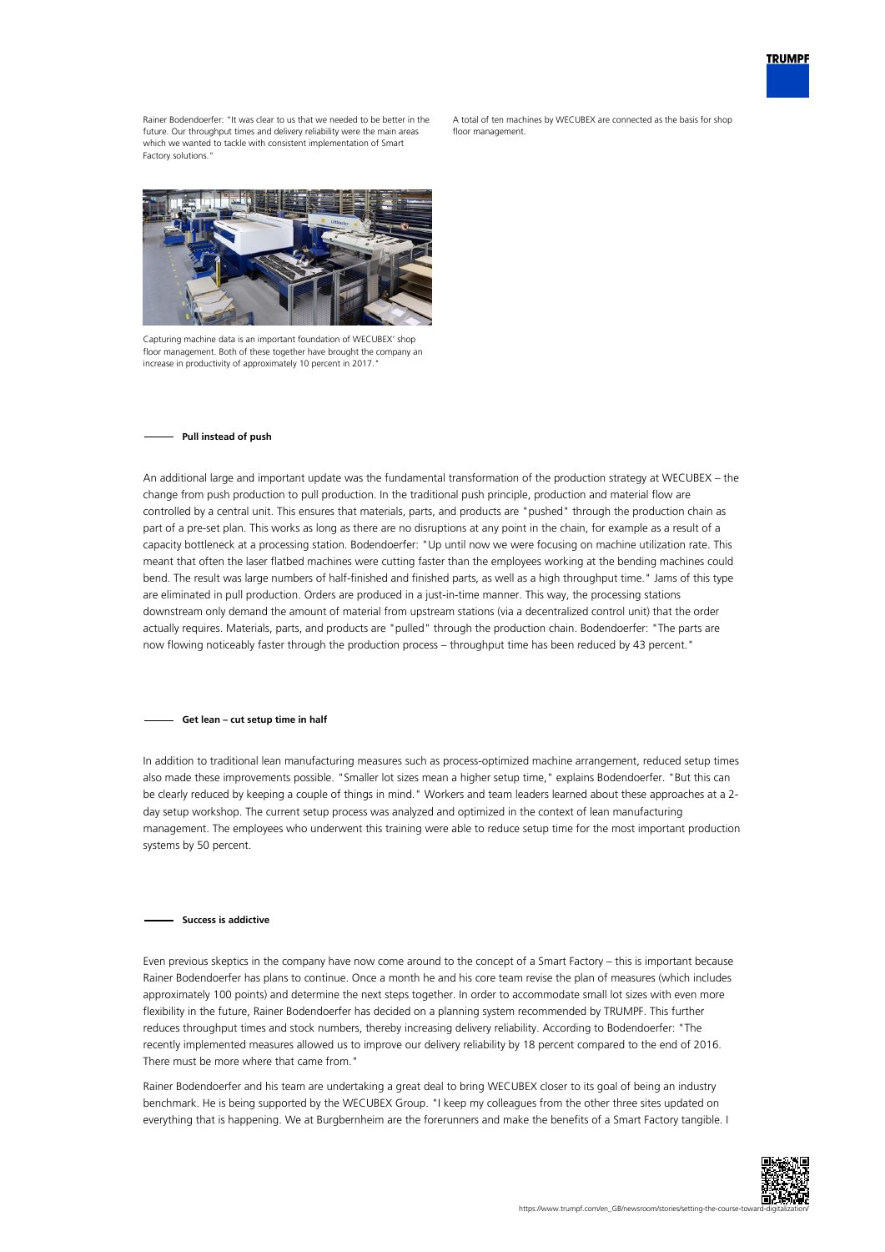

Rainer Bodendoerfer: "It was clear to us that we needed to be better in the future. Our throughput times and delivery reliability were the main areas which we wanted to tackle with consistent implementation of Smart Factory solutions.

A total of ten machines by WECUBEX are connected as the basis for shop floor management



Capturing machine data is an important foundation of WECUBEX' shop floor management. Both of these together have brought the company an increase in productivity of approximately 10 percent in 2017.

#### **Pull instead of push**

An additional large and important update was the fundamental transformation of the production strategy at WECUBEX – the change from push production to pull production. In the traditional push principle, production and material flow are controlled by a central unit. This ensures that materials, parts, and products are "pushed" through the production chain as part of a pre-set plan. This works as long as there are no disruptions at any point in the chain, for example as a result of a capacity bottleneck at a processing station. Bodendoerfer: "Up until now we were focusing on machine utilization rate. This meant that often the laser flatbed machines were cutting faster than the employees working at the bending machines could bend. The result was large numbers of half-finished and finished parts, as well as a high throughput time." Jams of this type are eliminated in pull production. Orders are produced in a just-in-time manner. This way, the processing stations downstream only demand the amount of material from upstream stations (via a decentralized control unit) that the order actually requires. Materials, parts, and products are "pulled" through the production chain. Bodendoerfer: "The parts are now flowing noticeably faster through the production process – throughput time has been reduced by 43 percent."

#### **Get lean – cut setup time in half**

In addition to traditional lean manufacturing measures such as process-optimized machine arrangement, reduced setup times also made these improvements possible. "Smaller lot sizes mean a higher setup time," explains Bodendoerfer. "But this can be clearly reduced by keeping a couple of things in mind." Workers and team leaders learned about these approaches at a 2 day setup workshop. The current setup process was analyzed and optimized in the context of lean manufacturing management. The employees who underwent this training were able to reduce setup time for the most important production systems by 50 percent.

## **Success is addictive**

Even previous skeptics in the company have now come around to the concept of a Smart Factory – this is important because Rainer Bodendoerfer has plans to continue. Once a month he and his core team revise the plan of measures (which includes approximately 100 points) and determine the next steps together. In order to accommodate small lot sizes with even more flexibility in the future, Rainer Bodendoerfer has decided on a planning system recommended by TRUMPF. This further reduces throughput times and stock numbers, thereby increasing delivery reliability. According to Bodendoerfer: "The recently implemented measures allowed us to improve our delivery reliability by 18 percent compared to the end of 2016. There must be more where that came from."

Rainer Bodendoerfer and his team are undertaking a great deal to bring WECUBEX closer to its goal of being an industry benchmark. He is being supported by the WECUBEX Group. "I keep my colleagues from the other three sites updated on everything that is happening. We at Burgbernheim are the forerunners and make the benefits of a Smart Factory tangible. I